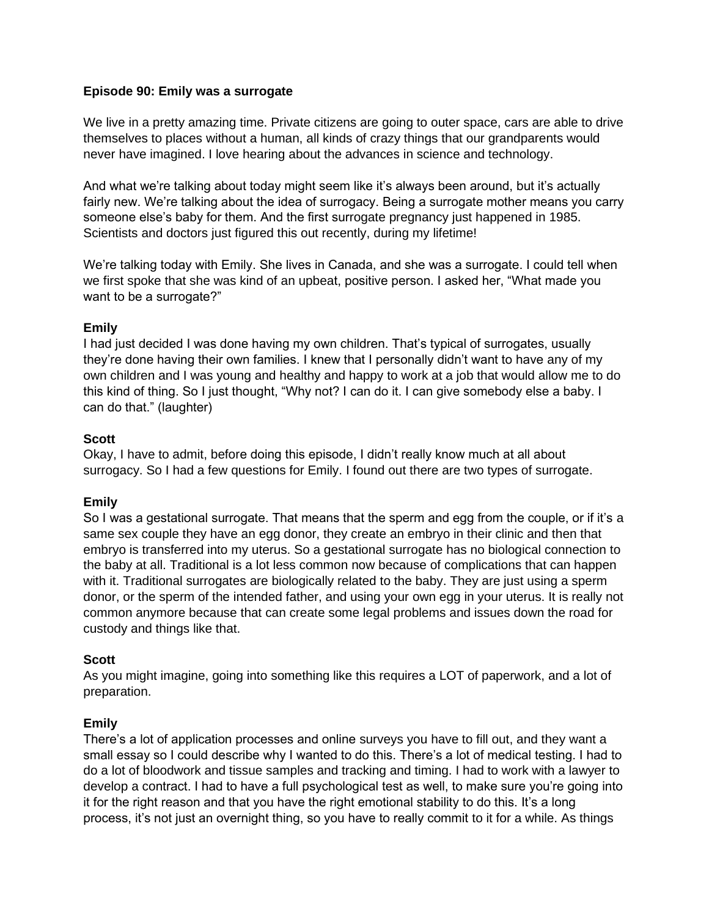## **Episode 90: Emily was a surrogate**

We live in a pretty amazing time. Private citizens are going to outer space, cars are able to drive themselves to places without a human, all kinds of crazy things that our grandparents would never have imagined. I love hearing about the advances in science and technology.

And what we're talking about today might seem like it's always been around, but it's actually fairly new. We're talking about the idea of surrogacy. Being a surrogate mother means you carry someone else's baby for them. And the first surrogate pregnancy just happened in 1985. Scientists and doctors just figured this out recently, during my lifetime!

We're talking today with Emily. She lives in Canada, and she was a surrogate. I could tell when we first spoke that she was kind of an upbeat, positive person. I asked her, "What made you want to be a surrogate?"

# **Emily**

I had just decided I was done having my own children. That's typical of surrogates, usually they're done having their own families. I knew that I personally didn't want to have any of my own children and I was young and healthy and happy to work at a job that would allow me to do this kind of thing. So I just thought, "Why not? I can do it. I can give somebody else a baby. I can do that." (laughter)

# **Scott**

Okay, I have to admit, before doing this episode, I didn't really know much at all about surrogacy. So I had a few questions for Emily. I found out there are two types of surrogate.

# **Emily**

So I was a gestational surrogate. That means that the sperm and egg from the couple, or if it's a same sex couple they have an egg donor, they create an embryo in their clinic and then that embryo is transferred into my uterus. So a gestational surrogate has no biological connection to the baby at all. Traditional is a lot less common now because of complications that can happen with it. Traditional surrogates are biologically related to the baby. They are just using a sperm donor, or the sperm of the intended father, and using your own egg in your uterus. It is really not common anymore because that can create some legal problems and issues down the road for custody and things like that.

## **Scott**

As you might imagine, going into something like this requires a LOT of paperwork, and a lot of preparation.

# **Emily**

There's a lot of application processes and online surveys you have to fill out, and they want a small essay so I could describe why I wanted to do this. There's a lot of medical testing. I had to do a lot of bloodwork and tissue samples and tracking and timing. I had to work with a lawyer to develop a contract. I had to have a full psychological test as well, to make sure you're going into it for the right reason and that you have the right emotional stability to do this. It's a long process, it's not just an overnight thing, so you have to really commit to it for a while. As things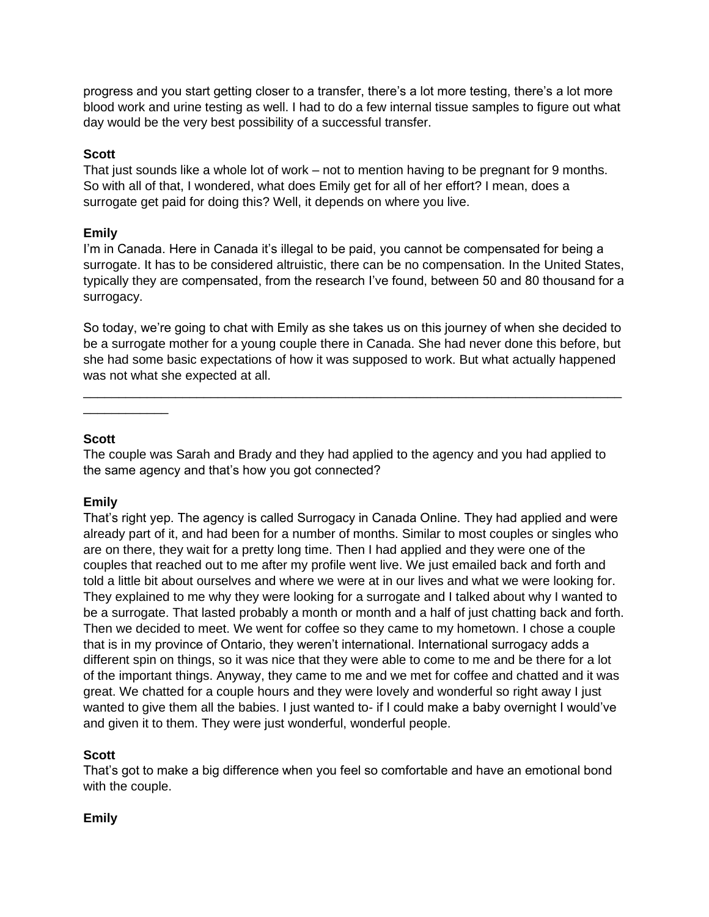progress and you start getting closer to a transfer, there's a lot more testing, there's a lot more blood work and urine testing as well. I had to do a few internal tissue samples to figure out what day would be the very best possibility of a successful transfer.

#### **Scott**

That just sounds like a whole lot of work – not to mention having to be pregnant for 9 months. So with all of that, I wondered, what does Emily get for all of her effort? I mean, does a surrogate get paid for doing this? Well, it depends on where you live.

#### **Emily**

I'm in Canada. Here in Canada it's illegal to be paid, you cannot be compensated for being a surrogate. It has to be considered altruistic, there can be no compensation. In the United States, typically they are compensated, from the research I've found, between 50 and 80 thousand for a surrogacy.

So today, we're going to chat with Emily as she takes us on this journey of when she decided to be a surrogate mother for a young couple there in Canada. She had never done this before, but she had some basic expectations of how it was supposed to work. But what actually happened was not what she expected at all.

\_\_\_\_\_\_\_\_\_\_\_\_\_\_\_\_\_\_\_\_\_\_\_\_\_\_\_\_\_\_\_\_\_\_\_\_\_\_\_\_\_\_\_\_\_\_\_\_\_\_\_\_\_\_\_\_\_\_\_\_\_\_\_\_\_\_\_\_\_\_\_\_\_\_\_\_

#### **Scott**

\_\_\_\_\_\_\_\_\_\_\_\_

The couple was Sarah and Brady and they had applied to the agency and you had applied to the same agency and that's how you got connected?

## **Emily**

That's right yep. The agency is called Surrogacy in Canada Online. They had applied and were already part of it, and had been for a number of months. Similar to most couples or singles who are on there, they wait for a pretty long time. Then I had applied and they were one of the couples that reached out to me after my profile went live. We just emailed back and forth and told a little bit about ourselves and where we were at in our lives and what we were looking for. They explained to me why they were looking for a surrogate and I talked about why I wanted to be a surrogate. That lasted probably a month or month and a half of just chatting back and forth. Then we decided to meet. We went for coffee so they came to my hometown. I chose a couple that is in my province of Ontario, they weren't international. International surrogacy adds a different spin on things, so it was nice that they were able to come to me and be there for a lot of the important things. Anyway, they came to me and we met for coffee and chatted and it was great. We chatted for a couple hours and they were lovely and wonderful so right away I just wanted to give them all the babies. I just wanted to- if I could make a baby overnight I would've and given it to them. They were just wonderful, wonderful people.

## **Scott**

That's got to make a big difference when you feel so comfortable and have an emotional bond with the couple.

#### **Emily**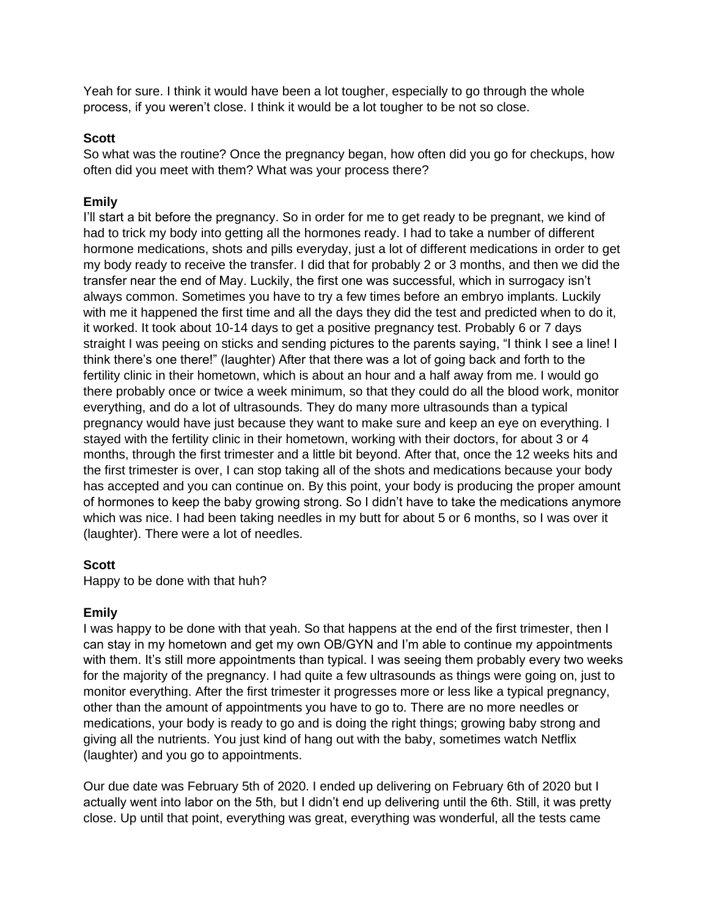Yeah for sure. I think it would have been a lot tougher, especially to go through the whole process, if you weren't close. I think it would be a lot tougher to be not so close.

#### **Scott**

So what was the routine? Once the pregnancy began, how often did you go for checkups, how often did you meet with them? What was your process there?

#### **Emily**

I'll start a bit before the pregnancy. So in order for me to get ready to be pregnant, we kind of had to trick my body into getting all the hormones ready. I had to take a number of different hormone medications, shots and pills everyday, just a lot of different medications in order to get my body ready to receive the transfer. I did that for probably 2 or 3 months, and then we did the transfer near the end of May. Luckily, the first one was successful, which in surrogacy isn't always common. Sometimes you have to try a few times before an embryo implants. Luckily with me it happened the first time and all the days they did the test and predicted when to do it, it worked. It took about 10-14 days to get a positive pregnancy test. Probably 6 or 7 days straight I was peeing on sticks and sending pictures to the parents saying, "I think I see a line! I think there's one there!" (laughter) After that there was a lot of going back and forth to the fertility clinic in their hometown, which is about an hour and a half away from me. I would go there probably once or twice a week minimum, so that they could do all the blood work, monitor everything, and do a lot of ultrasounds. They do many more ultrasounds than a typical pregnancy would have just because they want to make sure and keep an eye on everything. I stayed with the fertility clinic in their hometown, working with their doctors, for about 3 or 4 months, through the first trimester and a little bit beyond. After that, once the 12 weeks hits and the first trimester is over, I can stop taking all of the shots and medications because your body has accepted and you can continue on. By this point, your body is producing the proper amount of hormones to keep the baby growing strong. So I didn't have to take the medications anymore which was nice. I had been taking needles in my butt for about 5 or 6 months, so I was over it (laughter). There were a lot of needles.

#### **Scott**

Happy to be done with that huh?

#### **Emily**

I was happy to be done with that yeah. So that happens at the end of the first trimester, then I can stay in my hometown and get my own OB/GYN and I'm able to continue my appointments with them. It's still more appointments than typical. I was seeing them probably every two weeks for the majority of the pregnancy. I had quite a few ultrasounds as things were going on, just to monitor everything. After the first trimester it progresses more or less like a typical pregnancy, other than the amount of appointments you have to go to. There are no more needles or medications, your body is ready to go and is doing the right things; growing baby strong and giving all the nutrients. You just kind of hang out with the baby, sometimes watch Netflix (laughter) and you go to appointments.

Our due date was February 5th of 2020. I ended up delivering on February 6th of 2020 but I actually went into labor on the 5th, but I didn't end up delivering until the 6th. Still, it was pretty close. Up until that point, everything was great, everything was wonderful, all the tests came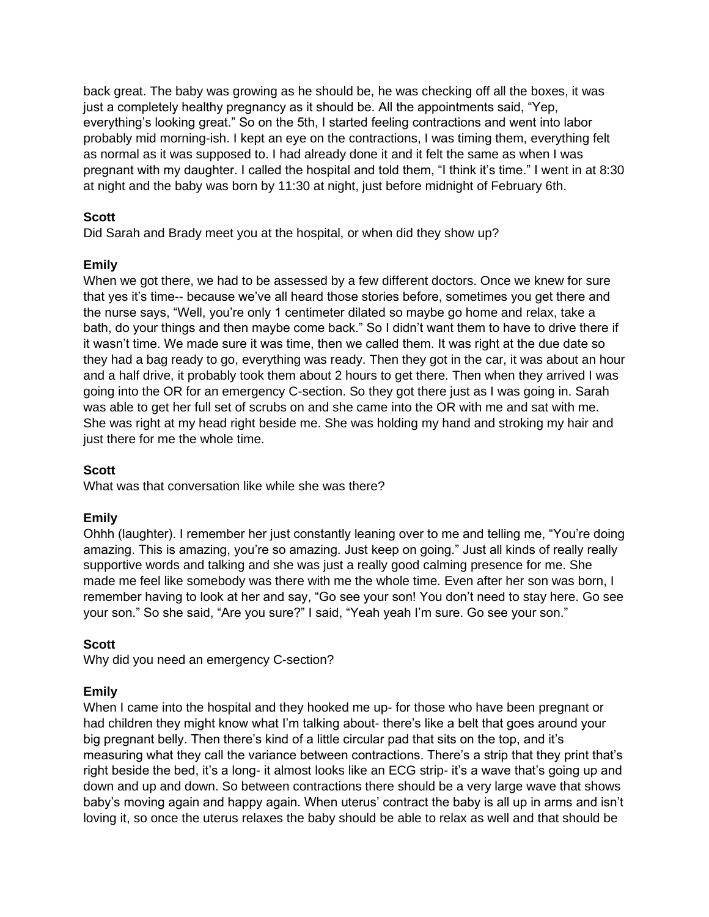back great. The baby was growing as he should be, he was checking off all the boxes, it was just a completely healthy pregnancy as it should be. All the appointments said, "Yep, everything's looking great." So on the 5th, I started feeling contractions and went into labor probably mid morning-ish. I kept an eye on the contractions, I was timing them, everything felt as normal as it was supposed to. I had already done it and it felt the same as when I was pregnant with my daughter. I called the hospital and told them, "I think it's time." I went in at 8:30 at night and the baby was born by 11:30 at night, just before midnight of February 6th.

# **Scott**

Did Sarah and Brady meet you at the hospital, or when did they show up?

# **Emily**

When we got there, we had to be assessed by a few different doctors. Once we knew for sure that yes it's time-- because we've all heard those stories before, sometimes you get there and the nurse says, "Well, you're only 1 centimeter dilated so maybe go home and relax, take a bath, do your things and then maybe come back." So I didn't want them to have to drive there if it wasn't time. We made sure it was time, then we called them. It was right at the due date so they had a bag ready to go, everything was ready. Then they got in the car, it was about an hour and a half drive, it probably took them about 2 hours to get there. Then when they arrived I was going into the OR for an emergency C-section. So they got there just as I was going in. Sarah was able to get her full set of scrubs on and she came into the OR with me and sat with me. She was right at my head right beside me. She was holding my hand and stroking my hair and just there for me the whole time.

## **Scott**

What was that conversation like while she was there?

## **Emily**

Ohhh (laughter). I remember her just constantly leaning over to me and telling me, "You're doing amazing. This is amazing, you're so amazing. Just keep on going." Just all kinds of really really supportive words and talking and she was just a really good calming presence for me. She made me feel like somebody was there with me the whole time. Even after her son was born, I remember having to look at her and say, "Go see your son! You don't need to stay here. Go see your son." So she said, "Are you sure?" I said, "Yeah yeah I'm sure. Go see your son."

## **Scott**

Why did you need an emergency C-section?

## **Emily**

When I came into the hospital and they hooked me up- for those who have been pregnant or had children they might know what I'm talking about- there's like a belt that goes around your big pregnant belly. Then there's kind of a little circular pad that sits on the top, and it's measuring what they call the variance between contractions. There's a strip that they print that's right beside the bed, it's a long- it almost looks like an ECG strip- it's a wave that's going up and down and up and down. So between contractions there should be a very large wave that shows baby's moving again and happy again. When uterus' contract the baby is all up in arms and isn't loving it, so once the uterus relaxes the baby should be able to relax as well and that should be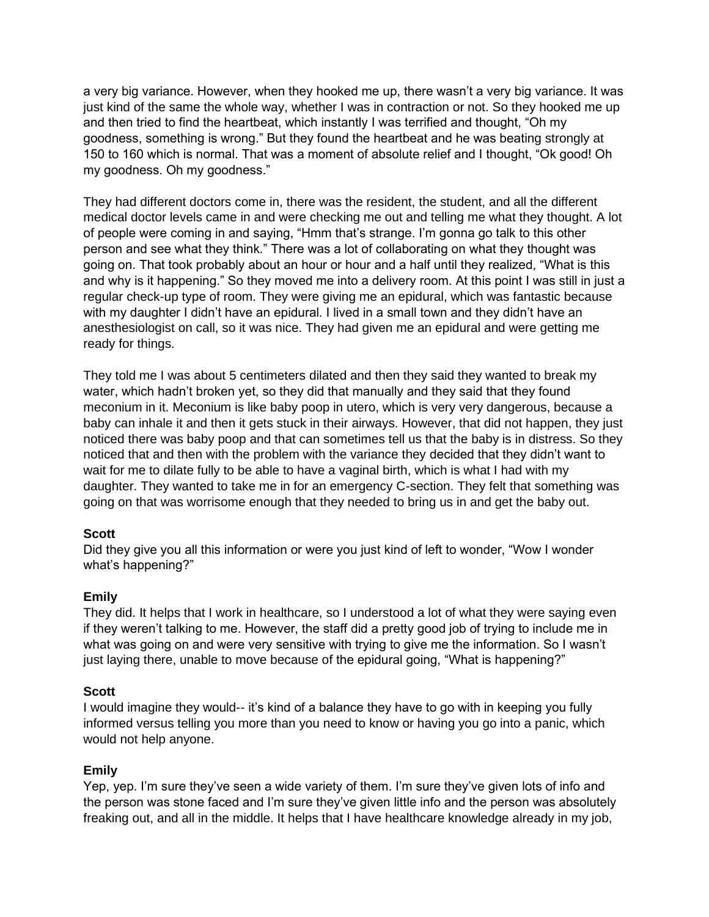a very big variance. However, when they hooked me up, there wasn't a very big variance. It was just kind of the same the whole way, whether I was in contraction or not. So they hooked me up and then tried to find the heartbeat, which instantly I was terrified and thought, "Oh my goodness, something is wrong." But they found the heartbeat and he was beating strongly at 150 to 160 which is normal. That was a moment of absolute relief and I thought, "Ok good! Oh my goodness. Oh my goodness."

They had different doctors come in, there was the resident, the student, and all the different medical doctor levels came in and were checking me out and telling me what they thought. A lot of people were coming in and saying, "Hmm that's strange. I'm gonna go talk to this other person and see what they think." There was a lot of collaborating on what they thought was going on. That took probably about an hour or hour and a half until they realized, "What is this and why is it happening." So they moved me into a delivery room. At this point I was still in just a regular check-up type of room. They were giving me an epidural, which was fantastic because with my daughter I didn't have an epidural. I lived in a small town and they didn't have an anesthesiologist on call, so it was nice. They had given me an epidural and were getting me ready for things.

They told me I was about 5 centimeters dilated and then they said they wanted to break my water, which hadn't broken yet, so they did that manually and they said that they found meconium in it. Meconium is like baby poop in utero, which is very very dangerous, because a baby can inhale it and then it gets stuck in their airways. However, that did not happen, they just noticed there was baby poop and that can sometimes tell us that the baby is in distress. So they noticed that and then with the problem with the variance they decided that they didn't want to wait for me to dilate fully to be able to have a vaginal birth, which is what I had with my daughter. They wanted to take me in for an emergency C-section. They felt that something was going on that was worrisome enough that they needed to bring us in and get the baby out.

## **Scott**

Did they give you all this information or were you just kind of left to wonder, "Wow I wonder what's happening?"

## **Emily**

They did. It helps that I work in healthcare, so I understood a lot of what they were saying even if they weren't talking to me. However, the staff did a pretty good job of trying to include me in what was going on and were very sensitive with trying to give me the information. So I wasn't just laying there, unable to move because of the epidural going, "What is happening?"

#### **Scott**

I would imagine they would-- it's kind of a balance they have to go with in keeping you fully informed versus telling you more than you need to know or having you go into a panic, which would not help anyone.

#### **Emily**

Yep, yep. I'm sure they've seen a wide variety of them. I'm sure they've given lots of info and the person was stone faced and I'm sure they've given little info and the person was absolutely freaking out, and all in the middle. It helps that I have healthcare knowledge already in my job,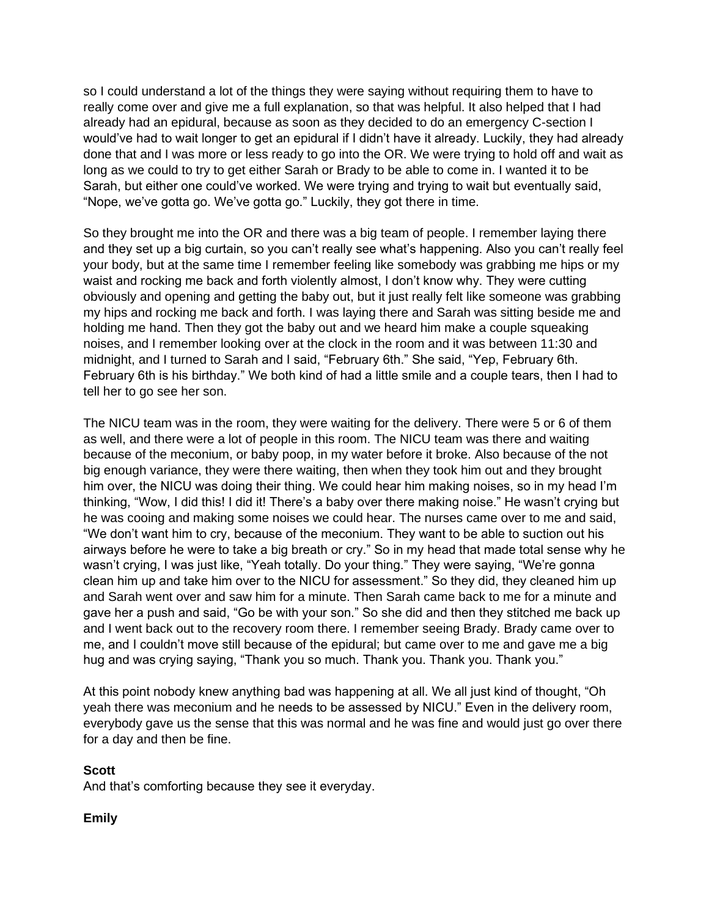so I could understand a lot of the things they were saying without requiring them to have to really come over and give me a full explanation, so that was helpful. It also helped that I had already had an epidural, because as soon as they decided to do an emergency C-section I would've had to wait longer to get an epidural if I didn't have it already. Luckily, they had already done that and I was more or less ready to go into the OR. We were trying to hold off and wait as long as we could to try to get either Sarah or Brady to be able to come in. I wanted it to be Sarah, but either one could've worked. We were trying and trying to wait but eventually said, "Nope, we've gotta go. We've gotta go." Luckily, they got there in time.

So they brought me into the OR and there was a big team of people. I remember laying there and they set up a big curtain, so you can't really see what's happening. Also you can't really feel your body, but at the same time I remember feeling like somebody was grabbing me hips or my waist and rocking me back and forth violently almost, I don't know why. They were cutting obviously and opening and getting the baby out, but it just really felt like someone was grabbing my hips and rocking me back and forth. I was laying there and Sarah was sitting beside me and holding me hand. Then they got the baby out and we heard him make a couple squeaking noises, and I remember looking over at the clock in the room and it was between 11:30 and midnight, and I turned to Sarah and I said, "February 6th." She said, "Yep, February 6th. February 6th is his birthday." We both kind of had a little smile and a couple tears, then I had to tell her to go see her son.

The NICU team was in the room, they were waiting for the delivery. There were 5 or 6 of them as well, and there were a lot of people in this room. The NICU team was there and waiting because of the meconium, or baby poop, in my water before it broke. Also because of the not big enough variance, they were there waiting, then when they took him out and they brought him over, the NICU was doing their thing. We could hear him making noises, so in my head I'm thinking, "Wow, I did this! I did it! There's a baby over there making noise." He wasn't crying but he was cooing and making some noises we could hear. The nurses came over to me and said, "We don't want him to cry, because of the meconium. They want to be able to suction out his airways before he were to take a big breath or cry." So in my head that made total sense why he wasn't crying, I was just like, "Yeah totally. Do your thing." They were saying, "We're gonna clean him up and take him over to the NICU for assessment." So they did, they cleaned him up and Sarah went over and saw him for a minute. Then Sarah came back to me for a minute and gave her a push and said, "Go be with your son." So she did and then they stitched me back up and I went back out to the recovery room there. I remember seeing Brady. Brady came over to me, and I couldn't move still because of the epidural; but came over to me and gave me a big hug and was crying saying, "Thank you so much. Thank you. Thank you. Thank you."

At this point nobody knew anything bad was happening at all. We all just kind of thought, "Oh yeah there was meconium and he needs to be assessed by NICU." Even in the delivery room, everybody gave us the sense that this was normal and he was fine and would just go over there for a day and then be fine.

#### **Scott**

And that's comforting because they see it everyday.

## **Emily**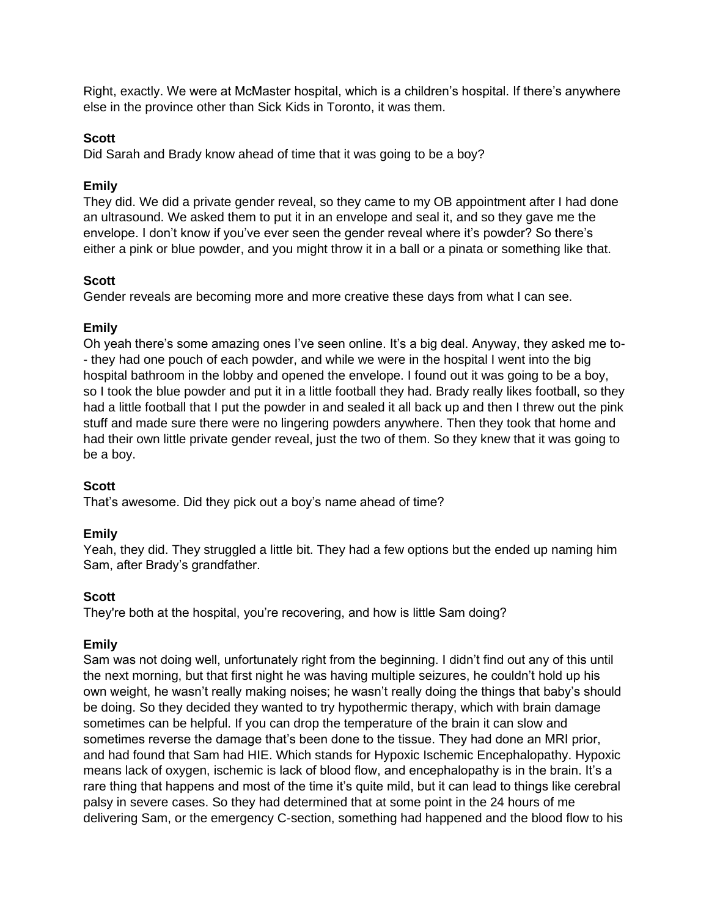Right, exactly. We were at McMaster hospital, which is a children's hospital. If there's anywhere else in the province other than Sick Kids in Toronto, it was them.

## **Scott**

Did Sarah and Brady know ahead of time that it was going to be a boy?

## **Emily**

They did. We did a private gender reveal, so they came to my OB appointment after I had done an ultrasound. We asked them to put it in an envelope and seal it, and so they gave me the envelope. I don't know if you've ever seen the gender reveal where it's powder? So there's either a pink or blue powder, and you might throw it in a ball or a pinata or something like that.

## **Scott**

Gender reveals are becoming more and more creative these days from what I can see.

## **Emily**

Oh yeah there's some amazing ones I've seen online. It's a big deal. Anyway, they asked me to- - they had one pouch of each powder, and while we were in the hospital I went into the big hospital bathroom in the lobby and opened the envelope. I found out it was going to be a boy, so I took the blue powder and put it in a little football they had. Brady really likes football, so they had a little football that I put the powder in and sealed it all back up and then I threw out the pink stuff and made sure there were no lingering powders anywhere. Then they took that home and had their own little private gender reveal, just the two of them. So they knew that it was going to be a boy.

## **Scott**

That's awesome. Did they pick out a boy's name ahead of time?

## **Emily**

Yeah, they did. They struggled a little bit. They had a few options but the ended up naming him Sam, after Brady's grandfather.

#### **Scott**

They're both at the hospital, you're recovering, and how is little Sam doing?

## **Emily**

Sam was not doing well, unfortunately right from the beginning. I didn't find out any of this until the next morning, but that first night he was having multiple seizures, he couldn't hold up his own weight, he wasn't really making noises; he wasn't really doing the things that baby's should be doing. So they decided they wanted to try hypothermic therapy, which with brain damage sometimes can be helpful. If you can drop the temperature of the brain it can slow and sometimes reverse the damage that's been done to the tissue. They had done an MRI prior, and had found that Sam had HIE. Which stands for Hypoxic Ischemic Encephalopathy. Hypoxic means lack of oxygen, ischemic is lack of blood flow, and encephalopathy is in the brain. It's a rare thing that happens and most of the time it's quite mild, but it can lead to things like cerebral palsy in severe cases. So they had determined that at some point in the 24 hours of me delivering Sam, or the emergency C-section, something had happened and the blood flow to his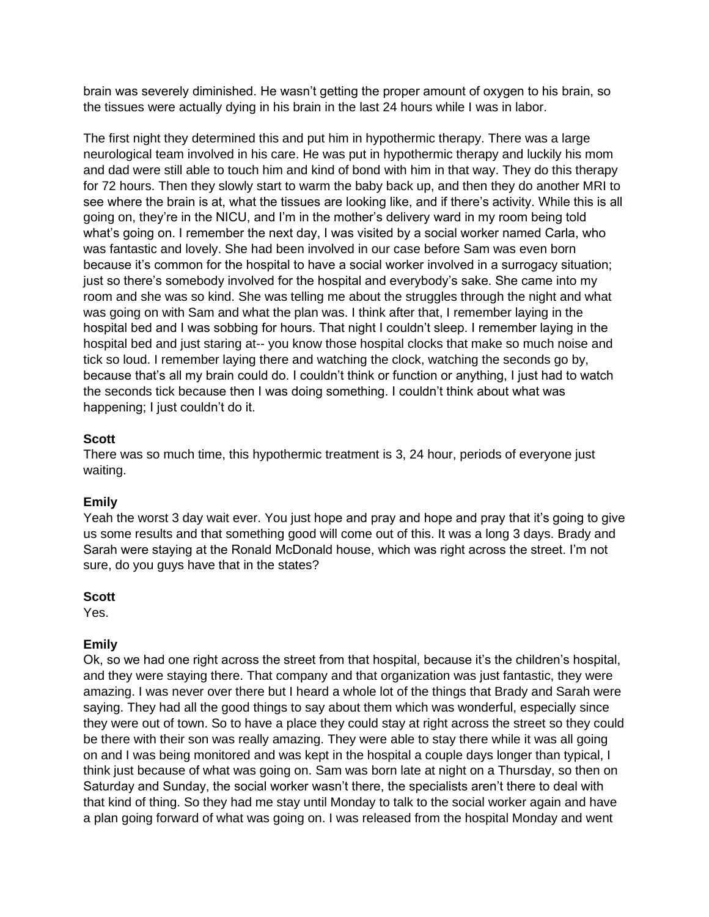brain was severely diminished. He wasn't getting the proper amount of oxygen to his brain, so the tissues were actually dying in his brain in the last 24 hours while I was in labor.

The first night they determined this and put him in hypothermic therapy. There was a large neurological team involved in his care. He was put in hypothermic therapy and luckily his mom and dad were still able to touch him and kind of bond with him in that way. They do this therapy for 72 hours. Then they slowly start to warm the baby back up, and then they do another MRI to see where the brain is at, what the tissues are looking like, and if there's activity. While this is all going on, they're in the NICU, and I'm in the mother's delivery ward in my room being told what's going on. I remember the next day, I was visited by a social worker named Carla, who was fantastic and lovely. She had been involved in our case before Sam was even born because it's common for the hospital to have a social worker involved in a surrogacy situation; just so there's somebody involved for the hospital and everybody's sake. She came into my room and she was so kind. She was telling me about the struggles through the night and what was going on with Sam and what the plan was. I think after that, I remember laying in the hospital bed and I was sobbing for hours. That night I couldn't sleep. I remember laying in the hospital bed and just staring at-- you know those hospital clocks that make so much noise and tick so loud. I remember laying there and watching the clock, watching the seconds go by, because that's all my brain could do. I couldn't think or function or anything, I just had to watch the seconds tick because then I was doing something. I couldn't think about what was happening; I just couldn't do it.

# **Scott**

There was so much time, this hypothermic treatment is 3, 24 hour, periods of everyone just waiting.

## **Emily**

Yeah the worst 3 day wait ever. You just hope and pray and hope and pray that it's going to give us some results and that something good will come out of this. It was a long 3 days. Brady and Sarah were staying at the Ronald McDonald house, which was right across the street. I'm not sure, do you guys have that in the states?

## **Scott**

Yes.

## **Emily**

Ok, so we had one right across the street from that hospital, because it's the children's hospital, and they were staying there. That company and that organization was just fantastic, they were amazing. I was never over there but I heard a whole lot of the things that Brady and Sarah were saying. They had all the good things to say about them which was wonderful, especially since they were out of town. So to have a place they could stay at right across the street so they could be there with their son was really amazing. They were able to stay there while it was all going on and I was being monitored and was kept in the hospital a couple days longer than typical, I think just because of what was going on. Sam was born late at night on a Thursday, so then on Saturday and Sunday, the social worker wasn't there, the specialists aren't there to deal with that kind of thing. So they had me stay until Monday to talk to the social worker again and have a plan going forward of what was going on. I was released from the hospital Monday and went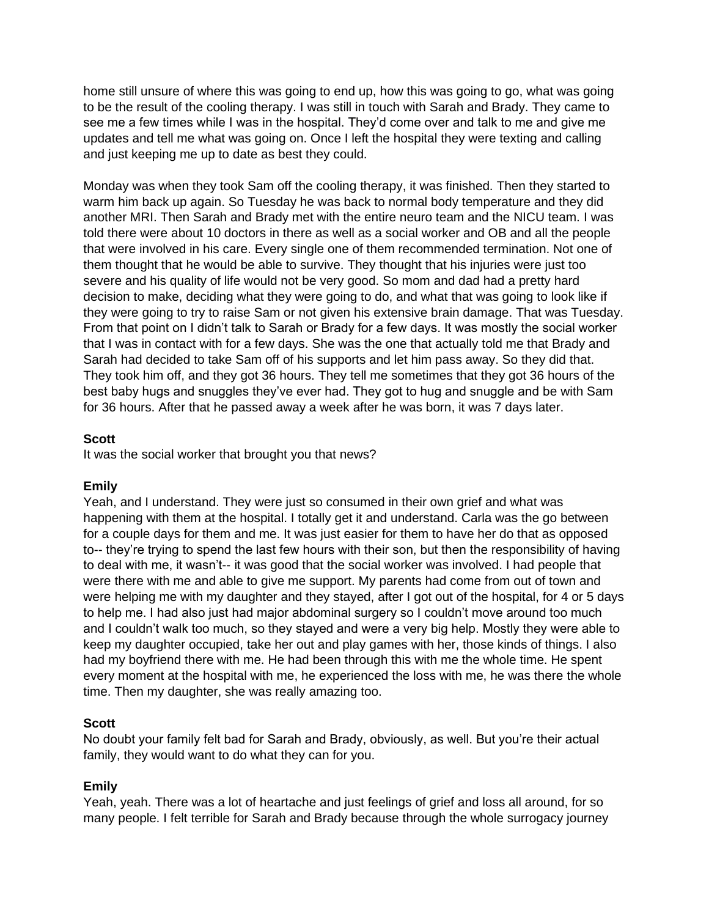home still unsure of where this was going to end up, how this was going to go, what was going to be the result of the cooling therapy. I was still in touch with Sarah and Brady. They came to see me a few times while I was in the hospital. They'd come over and talk to me and give me updates and tell me what was going on. Once I left the hospital they were texting and calling and just keeping me up to date as best they could.

Monday was when they took Sam off the cooling therapy, it was finished. Then they started to warm him back up again. So Tuesday he was back to normal body temperature and they did another MRI. Then Sarah and Brady met with the entire neuro team and the NICU team. I was told there were about 10 doctors in there as well as a social worker and OB and all the people that were involved in his care. Every single one of them recommended termination. Not one of them thought that he would be able to survive. They thought that his injuries were just too severe and his quality of life would not be very good. So mom and dad had a pretty hard decision to make, deciding what they were going to do, and what that was going to look like if they were going to try to raise Sam or not given his extensive brain damage. That was Tuesday. From that point on I didn't talk to Sarah or Brady for a few days. It was mostly the social worker that I was in contact with for a few days. She was the one that actually told me that Brady and Sarah had decided to take Sam off of his supports and let him pass away. So they did that. They took him off, and they got 36 hours. They tell me sometimes that they got 36 hours of the best baby hugs and snuggles they've ever had. They got to hug and snuggle and be with Sam for 36 hours. After that he passed away a week after he was born, it was 7 days later.

## **Scott**

It was the social worker that brought you that news?

#### **Emily**

Yeah, and I understand. They were just so consumed in their own grief and what was happening with them at the hospital. I totally get it and understand. Carla was the go between for a couple days for them and me. It was just easier for them to have her do that as opposed to-- they're trying to spend the last few hours with their son, but then the responsibility of having to deal with me, it wasn't-- it was good that the social worker was involved. I had people that were there with me and able to give me support. My parents had come from out of town and were helping me with my daughter and they stayed, after I got out of the hospital, for 4 or 5 days to help me. I had also just had major abdominal surgery so I couldn't move around too much and I couldn't walk too much, so they stayed and were a very big help. Mostly they were able to keep my daughter occupied, take her out and play games with her, those kinds of things. I also had my boyfriend there with me. He had been through this with me the whole time. He spent every moment at the hospital with me, he experienced the loss with me, he was there the whole time. Then my daughter, she was really amazing too.

## **Scott**

No doubt your family felt bad for Sarah and Brady, obviously, as well. But you're their actual family, they would want to do what they can for you.

#### **Emily**

Yeah, yeah. There was a lot of heartache and just feelings of grief and loss all around, for so many people. I felt terrible for Sarah and Brady because through the whole surrogacy journey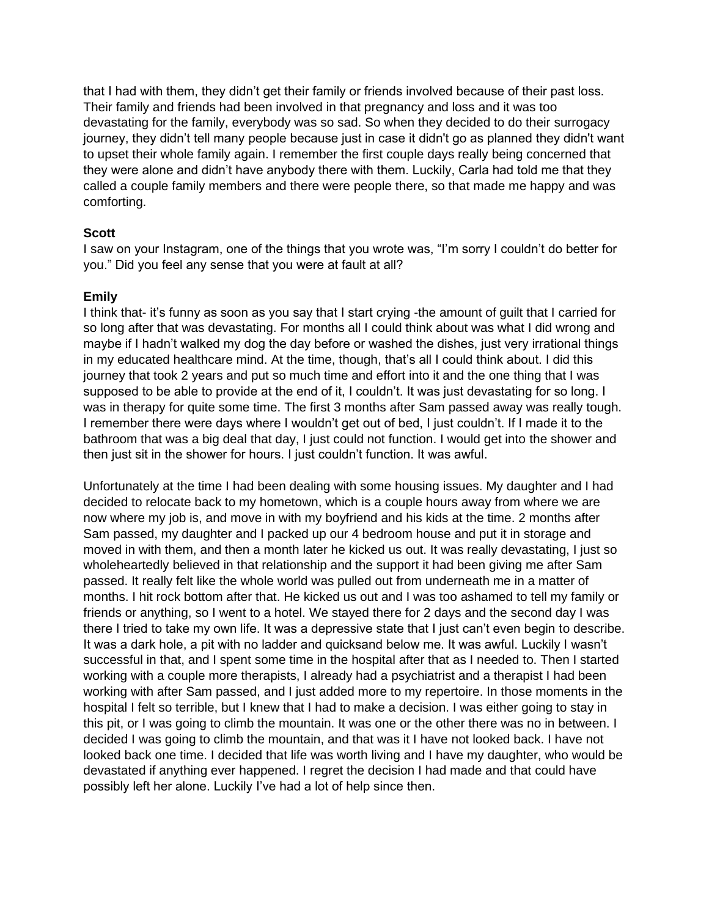that I had with them, they didn't get their family or friends involved because of their past loss. Their family and friends had been involved in that pregnancy and loss and it was too devastating for the family, everybody was so sad. So when they decided to do their surrogacy journey, they didn't tell many people because just in case it didn't go as planned they didn't want to upset their whole family again. I remember the first couple days really being concerned that they were alone and didn't have anybody there with them. Luckily, Carla had told me that they called a couple family members and there were people there, so that made me happy and was comforting.

#### **Scott**

I saw on your Instagram, one of the things that you wrote was, "I'm sorry I couldn't do better for you." Did you feel any sense that you were at fault at all?

#### **Emily**

I think that- it's funny as soon as you say that I start crying -the amount of guilt that I carried for so long after that was devastating. For months all I could think about was what I did wrong and maybe if I hadn't walked my dog the day before or washed the dishes, just very irrational things in my educated healthcare mind. At the time, though, that's all I could think about. I did this journey that took 2 years and put so much time and effort into it and the one thing that I was supposed to be able to provide at the end of it, I couldn't. It was just devastating for so long. I was in therapy for quite some time. The first 3 months after Sam passed away was really tough. I remember there were days where I wouldn't get out of bed, I just couldn't. If I made it to the bathroom that was a big deal that day, I just could not function. I would get into the shower and then just sit in the shower for hours. I just couldn't function. It was awful.

Unfortunately at the time I had been dealing with some housing issues. My daughter and I had decided to relocate back to my hometown, which is a couple hours away from where we are now where my job is, and move in with my boyfriend and his kids at the time. 2 months after Sam passed, my daughter and I packed up our 4 bedroom house and put it in storage and moved in with them, and then a month later he kicked us out. It was really devastating, I just so wholeheartedly believed in that relationship and the support it had been giving me after Sam passed. It really felt like the whole world was pulled out from underneath me in a matter of months. I hit rock bottom after that. He kicked us out and I was too ashamed to tell my family or friends or anything, so I went to a hotel. We stayed there for 2 days and the second day I was there I tried to take my own life. It was a depressive state that I just can't even begin to describe. It was a dark hole, a pit with no ladder and quicksand below me. It was awful. Luckily I wasn't successful in that, and I spent some time in the hospital after that as I needed to. Then I started working with a couple more therapists, I already had a psychiatrist and a therapist I had been working with after Sam passed, and I just added more to my repertoire. In those moments in the hospital I felt so terrible, but I knew that I had to make a decision. I was either going to stay in this pit, or I was going to climb the mountain. It was one or the other there was no in between. I decided I was going to climb the mountain, and that was it I have not looked back. I have not looked back one time. I decided that life was worth living and I have my daughter, who would be devastated if anything ever happened. I regret the decision I had made and that could have possibly left her alone. Luckily I've had a lot of help since then.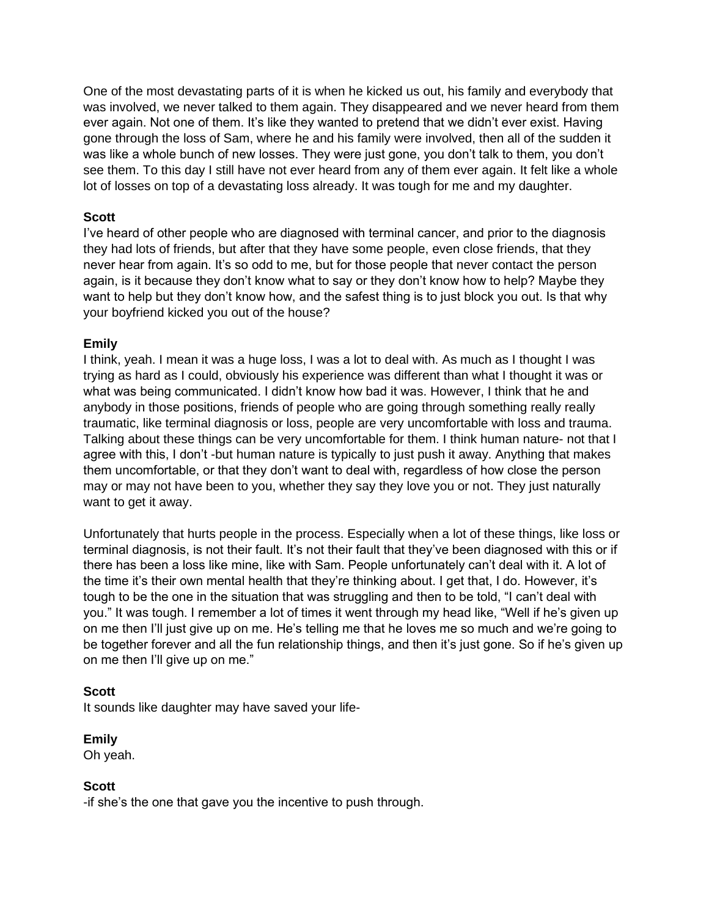One of the most devastating parts of it is when he kicked us out, his family and everybody that was involved, we never talked to them again. They disappeared and we never heard from them ever again. Not one of them. It's like they wanted to pretend that we didn't ever exist. Having gone through the loss of Sam, where he and his family were involved, then all of the sudden it was like a whole bunch of new losses. They were just gone, you don't talk to them, you don't see them. To this day I still have not ever heard from any of them ever again. It felt like a whole lot of losses on top of a devastating loss already. It was tough for me and my daughter.

## **Scott**

I've heard of other people who are diagnosed with terminal cancer, and prior to the diagnosis they had lots of friends, but after that they have some people, even close friends, that they never hear from again. It's so odd to me, but for those people that never contact the person again, is it because they don't know what to say or they don't know how to help? Maybe they want to help but they don't know how, and the safest thing is to just block you out. Is that why your boyfriend kicked you out of the house?

# **Emily**

I think, yeah. I mean it was a huge loss, I was a lot to deal with. As much as I thought I was trying as hard as I could, obviously his experience was different than what I thought it was or what was being communicated. I didn't know how bad it was. However, I think that he and anybody in those positions, friends of people who are going through something really really traumatic, like terminal diagnosis or loss, people are very uncomfortable with loss and trauma. Talking about these things can be very uncomfortable for them. I think human nature- not that I agree with this, I don't -but human nature is typically to just push it away. Anything that makes them uncomfortable, or that they don't want to deal with, regardless of how close the person may or may not have been to you, whether they say they love you or not. They just naturally want to get it away.

Unfortunately that hurts people in the process. Especially when a lot of these things, like loss or terminal diagnosis, is not their fault. It's not their fault that they've been diagnosed with this or if there has been a loss like mine, like with Sam. People unfortunately can't deal with it. A lot of the time it's their own mental health that they're thinking about. I get that, I do. However, it's tough to be the one in the situation that was struggling and then to be told, "I can't deal with you." It was tough. I remember a lot of times it went through my head like, "Well if he's given up on me then I'll just give up on me. He's telling me that he loves me so much and we're going to be together forever and all the fun relationship things, and then it's just gone. So if he's given up on me then I'll give up on me."

## **Scott**

It sounds like daughter may have saved your life-

#### **Emily**

Oh yeah.

#### **Scott**

-if she's the one that gave you the incentive to push through.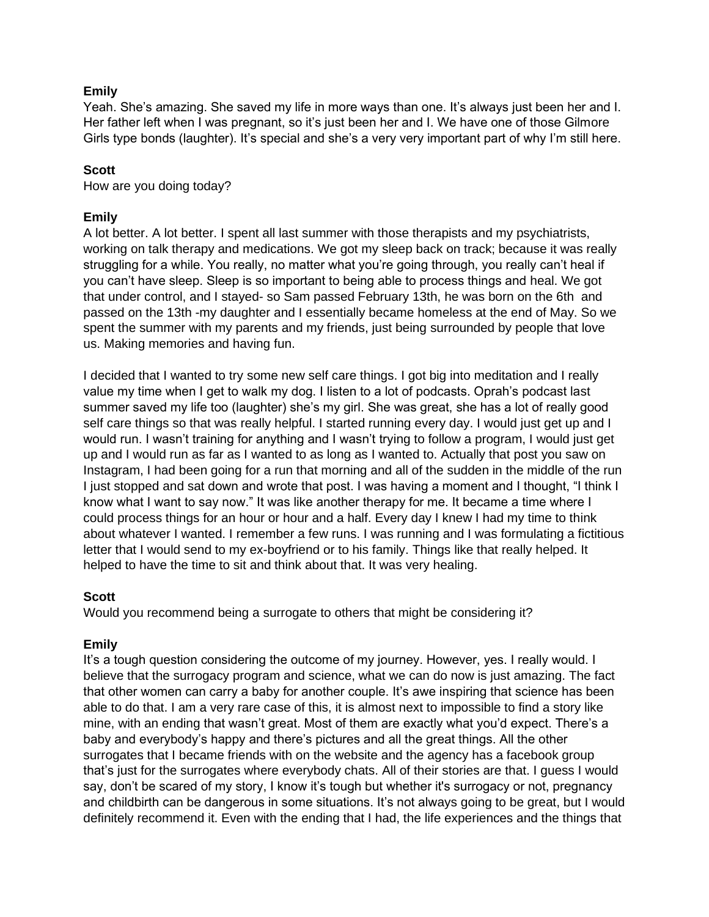## **Emily**

Yeah. She's amazing. She saved my life in more ways than one. It's always just been her and I. Her father left when I was pregnant, so it's just been her and I. We have one of those Gilmore Girls type bonds (laughter). It's special and she's a very very important part of why I'm still here.

## **Scott**

How are you doing today?

## **Emily**

A lot better. A lot better. I spent all last summer with those therapists and my psychiatrists, working on talk therapy and medications. We got my sleep back on track; because it was really struggling for a while. You really, no matter what you're going through, you really can't heal if you can't have sleep. Sleep is so important to being able to process things and heal. We got that under control, and I stayed- so Sam passed February 13th, he was born on the 6th and passed on the 13th -my daughter and I essentially became homeless at the end of May. So we spent the summer with my parents and my friends, just being surrounded by people that love us. Making memories and having fun.

I decided that I wanted to try some new self care things. I got big into meditation and I really value my time when I get to walk my dog. I listen to a lot of podcasts. Oprah's podcast last summer saved my life too (laughter) she's my girl. She was great, she has a lot of really good self care things so that was really helpful. I started running every day. I would just get up and I would run. I wasn't training for anything and I wasn't trying to follow a program, I would just get up and I would run as far as I wanted to as long as I wanted to. Actually that post you saw on Instagram, I had been going for a run that morning and all of the sudden in the middle of the run I just stopped and sat down and wrote that post. I was having a moment and I thought, "I think I know what I want to say now." It was like another therapy for me. It became a time where I could process things for an hour or hour and a half. Every day I knew I had my time to think about whatever I wanted. I remember a few runs. I was running and I was formulating a fictitious letter that I would send to my ex-boyfriend or to his family. Things like that really helped. It helped to have the time to sit and think about that. It was very healing.

## **Scott**

Would you recommend being a surrogate to others that might be considering it?

## **Emily**

It's a tough question considering the outcome of my journey. However, yes. I really would. I believe that the surrogacy program and science, what we can do now is just amazing. The fact that other women can carry a baby for another couple. It's awe inspiring that science has been able to do that. I am a very rare case of this, it is almost next to impossible to find a story like mine, with an ending that wasn't great. Most of them are exactly what you'd expect. There's a baby and everybody's happy and there's pictures and all the great things. All the other surrogates that I became friends with on the website and the agency has a facebook group that's just for the surrogates where everybody chats. All of their stories are that. I guess I would say, don't be scared of my story, I know it's tough but whether it's surrogacy or not, pregnancy and childbirth can be dangerous in some situations. It's not always going to be great, but I would definitely recommend it. Even with the ending that I had, the life experiences and the things that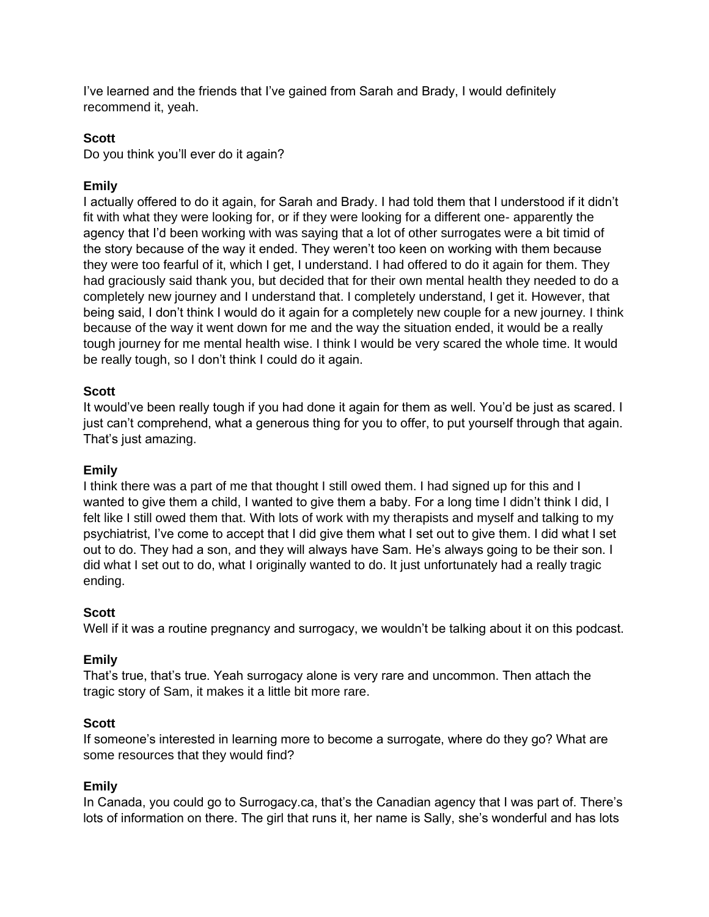I've learned and the friends that I've gained from Sarah and Brady, I would definitely recommend it, yeah.

## **Scott**

Do you think you'll ever do it again?

# **Emily**

I actually offered to do it again, for Sarah and Brady. I had told them that I understood if it didn't fit with what they were looking for, or if they were looking for a different one- apparently the agency that I'd been working with was saying that a lot of other surrogates were a bit timid of the story because of the way it ended. They weren't too keen on working with them because they were too fearful of it, which I get, I understand. I had offered to do it again for them. They had graciously said thank you, but decided that for their own mental health they needed to do a completely new journey and I understand that. I completely understand, I get it. However, that being said, I don't think I would do it again for a completely new couple for a new journey. I think because of the way it went down for me and the way the situation ended, it would be a really tough journey for me mental health wise. I think I would be very scared the whole time. It would be really tough, so I don't think I could do it again.

## **Scott**

It would've been really tough if you had done it again for them as well. You'd be just as scared. I just can't comprehend, what a generous thing for you to offer, to put yourself through that again. That's just amazing.

## **Emily**

I think there was a part of me that thought I still owed them. I had signed up for this and I wanted to give them a child, I wanted to give them a baby. For a long time I didn't think I did, I felt like I still owed them that. With lots of work with my therapists and myself and talking to my psychiatrist, I've come to accept that I did give them what I set out to give them. I did what I set out to do. They had a son, and they will always have Sam. He's always going to be their son. I did what I set out to do, what I originally wanted to do. It just unfortunately had a really tragic ending.

## **Scott**

Well if it was a routine pregnancy and surrogacy, we wouldn't be talking about it on this podcast.

## **Emily**

That's true, that's true. Yeah surrogacy alone is very rare and uncommon. Then attach the tragic story of Sam, it makes it a little bit more rare.

## **Scott**

If someone's interested in learning more to become a surrogate, where do they go? What are some resources that they would find?

## **Emily**

In Canada, you could go to Surrogacy.ca, that's the Canadian agency that I was part of. There's lots of information on there. The girl that runs it, her name is Sally, she's wonderful and has lots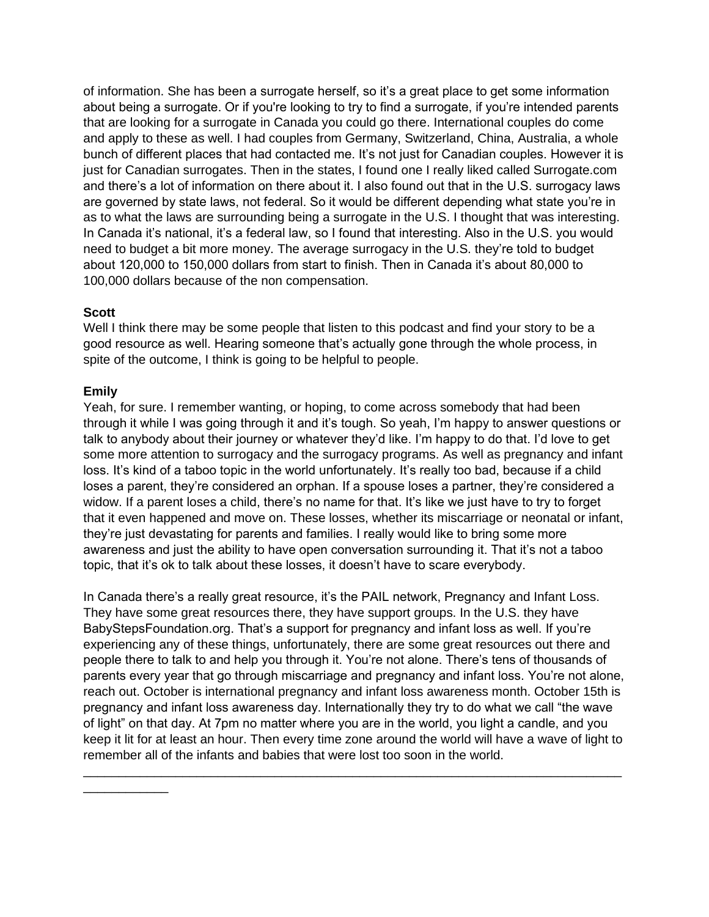of information. She has been a surrogate herself, so it's a great place to get some information about being a surrogate. Or if you're looking to try to find a surrogate, if you're intended parents that are looking for a surrogate in Canada you could go there. International couples do come and apply to these as well. I had couples from Germany, Switzerland, China, Australia, a whole bunch of different places that had contacted me. It's not just for Canadian couples. However it is just for Canadian surrogates. Then in the states, I found one I really liked called Surrogate.com and there's a lot of information on there about it. I also found out that in the U.S. surrogacy laws are governed by state laws, not federal. So it would be different depending what state you're in as to what the laws are surrounding being a surrogate in the U.S. I thought that was interesting. In Canada it's national, it's a federal law, so I found that interesting. Also in the U.S. you would need to budget a bit more money. The average surrogacy in the U.S. they're told to budget about 120,000 to 150,000 dollars from start to finish. Then in Canada it's about 80,000 to 100,000 dollars because of the non compensation.

## **Scott**

Well I think there may be some people that listen to this podcast and find your story to be a good resource as well. Hearing someone that's actually gone through the whole process, in spite of the outcome, I think is going to be helpful to people.

#### **Emily**

\_\_\_\_\_\_\_\_\_\_\_\_

Yeah, for sure. I remember wanting, or hoping, to come across somebody that had been through it while I was going through it and it's tough. So yeah, I'm happy to answer questions or talk to anybody about their journey or whatever they'd like. I'm happy to do that. I'd love to get some more attention to surrogacy and the surrogacy programs. As well as pregnancy and infant loss. It's kind of a taboo topic in the world unfortunately. It's really too bad, because if a child loses a parent, they're considered an orphan. If a spouse loses a partner, they're considered a widow. If a parent loses a child, there's no name for that. It's like we just have to try to forget that it even happened and move on. These losses, whether its miscarriage or neonatal or infant, they're just devastating for parents and families. I really would like to bring some more awareness and just the ability to have open conversation surrounding it. That it's not a taboo topic, that it's ok to talk about these losses, it doesn't have to scare everybody.

In Canada there's a really great resource, it's the PAIL network, Pregnancy and Infant Loss. They have some great resources there, they have support groups. In the U.S. they have BabyStepsFoundation.org. That's a support for pregnancy and infant loss as well. If you're experiencing any of these things, unfortunately, there are some great resources out there and people there to talk to and help you through it. You're not alone. There's tens of thousands of parents every year that go through miscarriage and pregnancy and infant loss. You're not alone, reach out. October is international pregnancy and infant loss awareness month. October 15th is pregnancy and infant loss awareness day. Internationally they try to do what we call "the wave of light" on that day. At 7pm no matter where you are in the world, you light a candle, and you keep it lit for at least an hour. Then every time zone around the world will have a wave of light to remember all of the infants and babies that were lost too soon in the world.

\_\_\_\_\_\_\_\_\_\_\_\_\_\_\_\_\_\_\_\_\_\_\_\_\_\_\_\_\_\_\_\_\_\_\_\_\_\_\_\_\_\_\_\_\_\_\_\_\_\_\_\_\_\_\_\_\_\_\_\_\_\_\_\_\_\_\_\_\_\_\_\_\_\_\_\_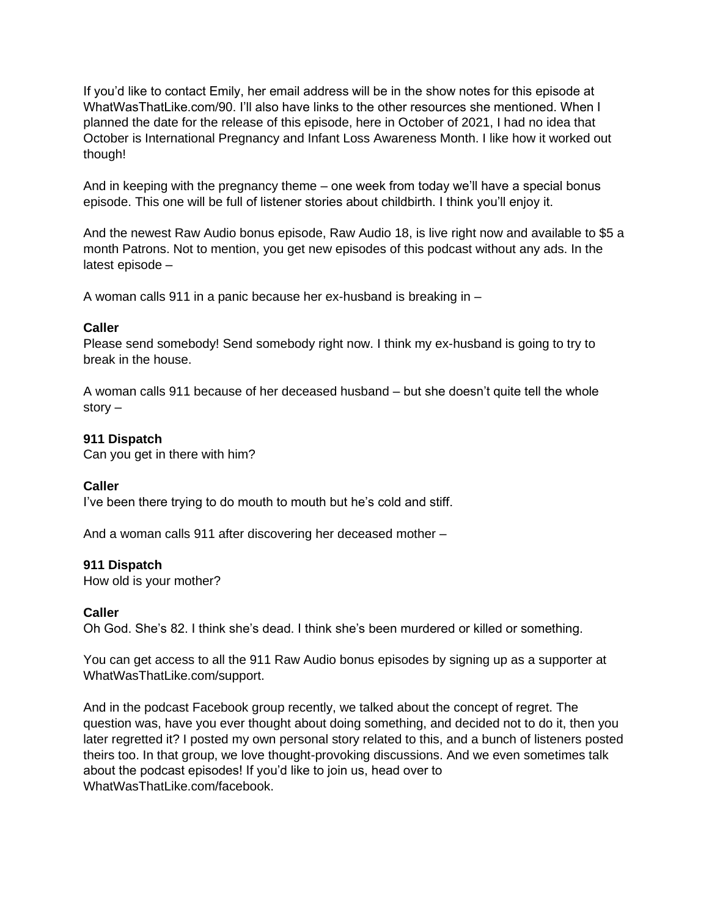If you'd like to contact Emily, her email address will be in the show notes for this episode at WhatWasThatLike.com/90. I'll also have links to the other resources she mentioned. When I planned the date for the release of this episode, here in October of 2021, I had no idea that October is International Pregnancy and Infant Loss Awareness Month. I like how it worked out though!

And in keeping with the pregnancy theme – one week from today we'll have a special bonus episode. This one will be full of listener stories about childbirth. I think you'll enjoy it.

And the newest Raw Audio bonus episode, Raw Audio 18, is live right now and available to \$5 a month Patrons. Not to mention, you get new episodes of this podcast without any ads. In the latest episode –

A woman calls 911 in a panic because her ex-husband is breaking in –

#### **Caller**

Please send somebody! Send somebody right now. I think my ex-husband is going to try to break in the house.

A woman calls 911 because of her deceased husband – but she doesn't quite tell the whole story –

## **911 Dispatch**

Can you get in there with him?

## **Caller**

I've been there trying to do mouth to mouth but he's cold and stiff.

And a woman calls 911 after discovering her deceased mother –

## **911 Dispatch**

How old is your mother?

## **Caller**

Oh God. She's 82. I think she's dead. I think she's been murdered or killed or something.

You can get access to all the 911 Raw Audio bonus episodes by signing up as a supporter at WhatWasThatLike.com/support.

And in the podcast Facebook group recently, we talked about the concept of regret. The question was, have you ever thought about doing something, and decided not to do it, then you later regretted it? I posted my own personal story related to this, and a bunch of listeners posted theirs too. In that group, we love thought-provoking discussions. And we even sometimes talk about the podcast episodes! If you'd like to join us, head over to WhatWasThatLike.com/facebook.